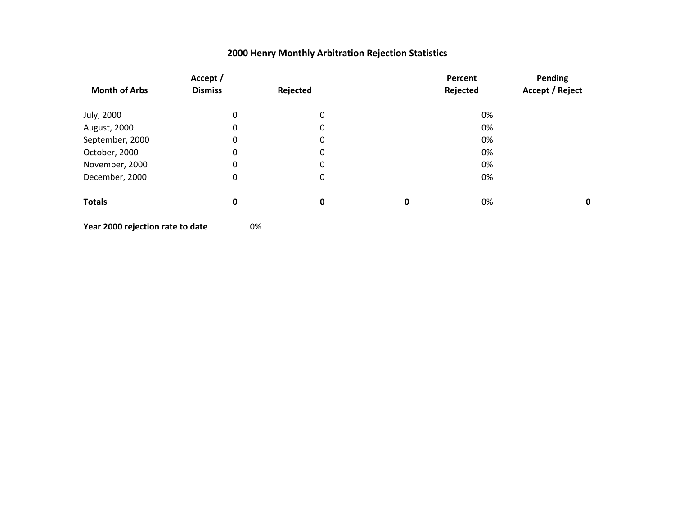|                      | Accept /         |          |             | Percent  | Pending |
|----------------------|------------------|----------|-------------|----------|---------|
| <b>Month of Arbs</b> | <b>Dismiss</b>   | Rejected |             | Rejected |         |
| July, 2000           | $\mathbf 0$      | 0        |             | 0%       |         |
| August, 2000         | $\mathbf 0$      | 0        |             | 0%       |         |
| September, 2000      | $\mathbf 0$      | 0        |             | 0%       |         |
| October, 2000        | $\mathbf 0$      | 0        |             | 0%       |         |
| November, 2000       | $\mathbf 0$      | 0        |             | 0%       |         |
| December, 2000       | $\boldsymbol{0}$ | 0        |             | 0%       |         |
| <b>Totals</b>        | $\bf{0}$         | 0        | $\mathbf 0$ | 0%       | 0       |
|                      |                  |          |             |          |         |

**Year 2000 rejection rate to date** 0%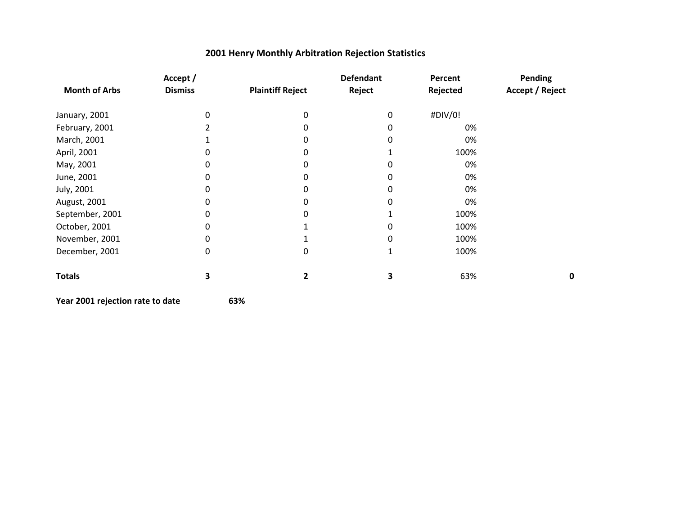|                      | Accept /       |                         | <b>Defendant</b> | Percent  | <b>Pending</b>  |
|----------------------|----------------|-------------------------|------------------|----------|-----------------|
| <b>Month of Arbs</b> | <b>Dismiss</b> | <b>Plaintiff Reject</b> | Reject           | Rejected | Accept / Reject |
| January, 2001        |                | 0                       | 0                | #DIV/0!  |                 |
| February, 2001       |                | 0                       | 0                | 0%       |                 |
| March, 2001          |                | 0                       | 0                | 0%       |                 |
| April, 2001          |                | 0                       |                  | 100%     |                 |
| May, 2001            |                |                         |                  | 0%       |                 |
| June, 2001           | 0              | 0                       | 0                | 0%       |                 |
| July, 2001           | 0              | 0                       | O                | 0%       |                 |
| August, 2001         |                | 0                       |                  | 0%       |                 |
| September, 2001      | 0              |                         |                  | 100%     |                 |
| October, 2001        | 0              |                         | 0                | 100%     |                 |
| November, 2001       | 0              |                         | 0                | 100%     |                 |
| December, 2001       | 0              | 0                       | 1                | 100%     |                 |
| <b>Totals</b>        | 3              | 2                       | 3                | 63%      | 0               |

```
Year 2001 rejection rate to date 63%
```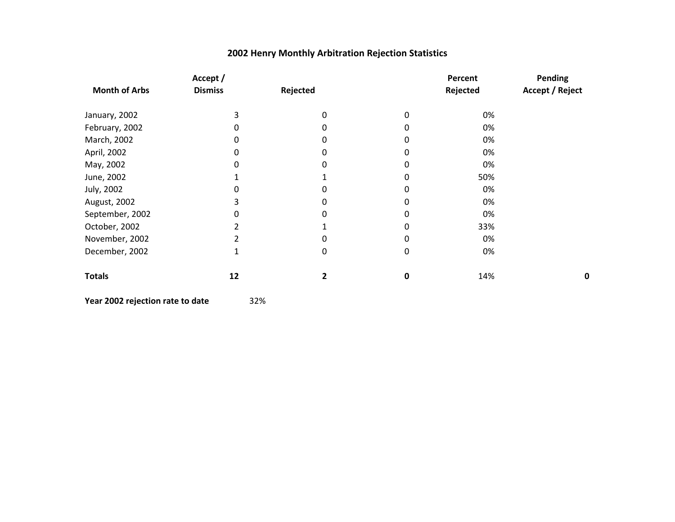| Accept /       |                |   | Percent  | Pending<br>Accept / Reject |
|----------------|----------------|---|----------|----------------------------|
| <b>Dismiss</b> | Rejected       |   | Rejected |                            |
| 3              | 0              | 0 | 0%       |                            |
| 0              |                |   | 0%       |                            |
| 0              |                |   | 0%       |                            |
| 0              |                |   | 0%       |                            |
| 0              |                | 0 | 0%       |                            |
|                |                |   | 50%      |                            |
| 0              |                |   | 0%       |                            |
| 3              | 0              | 0 | 0%       |                            |
| 0              |                |   | 0%       |                            |
|                |                |   | 33%      |                            |
|                |                |   | 0%       |                            |
| 1              | 0              | 0 | 0%       |                            |
| 12             | $\overline{2}$ | 0 | 14%      | 0                          |
|                |                |   |          |                            |

**Year 2002 rejection rate to date** 32%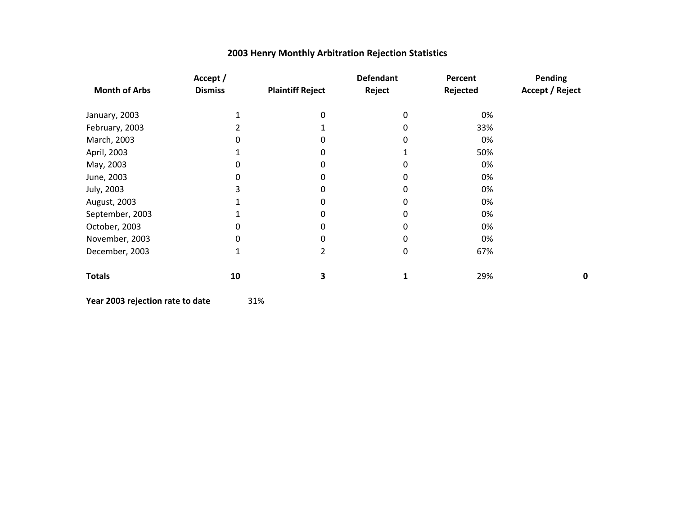| Accept /       |                         | <b>Defendant</b> | Percent  | Pending         |
|----------------|-------------------------|------------------|----------|-----------------|
| <b>Dismiss</b> | <b>Plaintiff Reject</b> | Reject           | Rejected | Accept / Reject |
|                | 0                       | 0                | 0%       |                 |
|                |                         |                  | 33%      |                 |
| 0              | 0                       | 0                | 0%       |                 |
|                | 0                       |                  | 50%      |                 |
| 0              | 0                       | 0                | 0%       |                 |
| 0              | 0                       | 0                | 0%       |                 |
| 3              | 0                       | 0                | 0%       |                 |
|                | 0                       | 0                | 0%       |                 |
|                | 0                       | 0                | 0%       |                 |
| 0              | 0                       | 0                | 0%       |                 |
| 0              | 0                       | 0                | 0%       |                 |
| 1              | 2                       | 0                | 67%      |                 |
| 10             | 3                       | 1                | 29%      | 0               |
|                |                         |                  |          |                 |

**Year 2003 rejection rate to date** 31%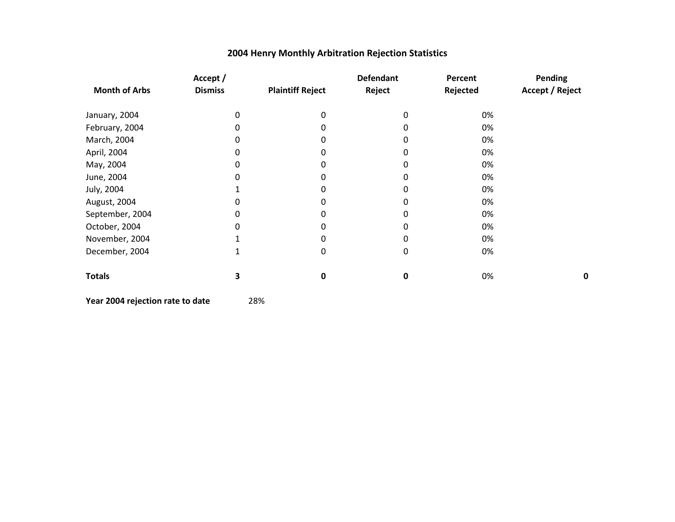|                      | Accept /       |                         | <b>Defendant</b> | Percent  | <b>Pending</b>  |
|----------------------|----------------|-------------------------|------------------|----------|-----------------|
| <b>Month of Arbs</b> | <b>Dismiss</b> | <b>Plaintiff Reject</b> | Reject           | Rejected | Accept / Reject |
| January, 2004        | 0              | 0                       | 0                | 0%       |                 |
| February, 2004       | 0              | O                       |                  | 0%       |                 |
| March, 2004          | 0              | O                       | n                | 0%       |                 |
| April, 2004          | 0              | ი                       | 0                | 0%       |                 |
| May, 2004            | 0              | 0                       | 0                | 0%       |                 |
| June, 2004           | 0              | 0                       | 0                | 0%       |                 |
| July, 2004           |                | 0                       | 0                | 0%       |                 |
| August, 2004         | 0              | o                       | O                | 0%       |                 |
| September, 2004      | 0              | o                       | n                | 0%       |                 |
| October, 2004        | 0              |                         |                  | 0%       |                 |
| November, 2004       |                | 0                       | O                | 0%       |                 |
| December, 2004       | 1              | 0                       | 0                | 0%       |                 |
| <b>Totals</b>        | 3              | 0                       | 0                | 0%       |                 |

**Year 2004 rejection rate to date** 28%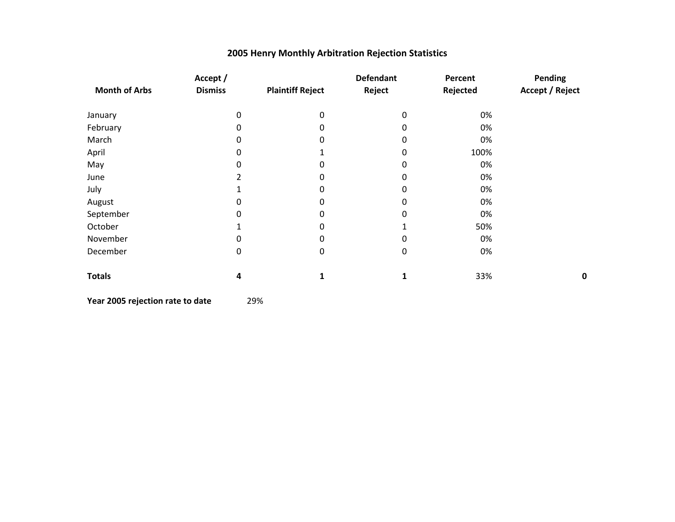|                      | Accept /       |                         | <b>Defendant</b> | Percent  | Pending                |
|----------------------|----------------|-------------------------|------------------|----------|------------------------|
| <b>Month of Arbs</b> | <b>Dismiss</b> | <b>Plaintiff Reject</b> | Reject           | Rejected | <b>Accept / Reject</b> |
| January              | 0              | 0                       | $\Omega$         | 0%       |                        |
| February             | 0              | 0                       | 0                | 0%       |                        |
| March                | 0              | $\Omega$                | 0                | 0%       |                        |
| April                | 0              |                         | 0                | 100%     |                        |
| May                  | 0              | 0                       | 0                | 0%       |                        |
| June                 | 2              | 0                       | 0                | 0%       |                        |
| July                 |                | 0                       | 0                | 0%       |                        |
| August               | 0              | 0                       | 0                | 0%       |                        |
| September            | 0              | 0                       | 0                | 0%       |                        |
| October              |                | 0                       |                  | 50%      |                        |
| November             | 0              | 0                       | 0                | 0%       |                        |
| December             | 0              | 0                       | $\pmb{0}$        | 0%       |                        |
| <b>Totals</b>        | 4              | 1                       | 1                | 33%      | 0                      |

**Year 2005 rejection rate to date** 29%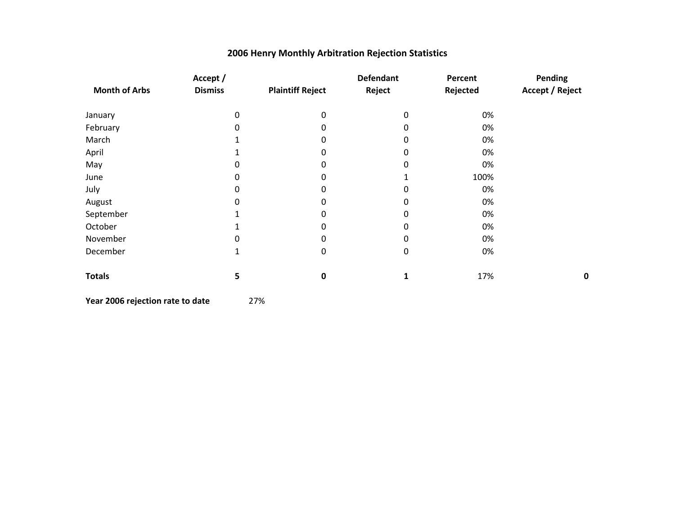|                      | Accept /       |                         | <b>Defendant</b> | Percent  | Pending                |
|----------------------|----------------|-------------------------|------------------|----------|------------------------|
| <b>Month of Arbs</b> | <b>Dismiss</b> | <b>Plaintiff Reject</b> | Reject           | Rejected | <b>Accept / Reject</b> |
| January              | $\Omega$       | 0                       | 0                | 0%       |                        |
| February             | $\Omega$       | O                       | 0                | 0%       |                        |
| March                |                | O                       | 0                | 0%       |                        |
| April                |                | 0                       | 0                | 0%       |                        |
| May                  | 0              | 0                       | $\mathbf 0$      | 0%       |                        |
| June                 | 0              | 0                       |                  | 100%     |                        |
| July                 | 0              | 0                       | 0                | 0%       |                        |
| August               | 0              | O                       | $\Omega$         | 0%       |                        |
| September            |                | ი                       | 0                | 0%       |                        |
| October              |                | O                       | $\Omega$         | 0%       |                        |
| November             | 0              | 0                       | $\Omega$         | 0%       |                        |
| December             | 1              | 0                       | $\mathbf 0$      | 0%       |                        |
| <b>Totals</b>        | 5              | $\mathbf 0$             |                  | 17%      | 0                      |

**Year 2006 rejection rate to date** 27%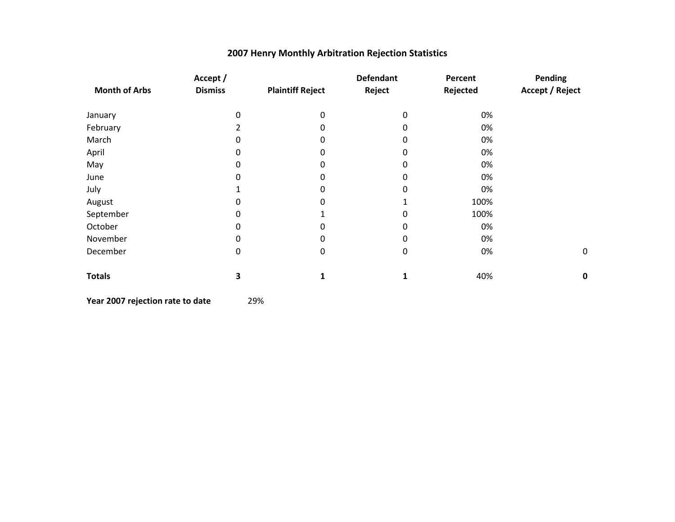|                      | Accept /       |                         | <b>Defendant</b> | Percent  | Pending                |
|----------------------|----------------|-------------------------|------------------|----------|------------------------|
| <b>Month of Arbs</b> | <b>Dismiss</b> | <b>Plaintiff Reject</b> | Reject           | Rejected | <b>Accept / Reject</b> |
| January              | 0              | 0                       | 0                | 0%       |                        |
| February             | 2              | $\Omega$                | 0                | 0%       |                        |
| March                | 0              | $\Omega$                | 0                | 0%       |                        |
| April                | 0              | 0                       | 0                | 0%       |                        |
| May                  | 0              | 0                       | 0                | 0%       |                        |
| June                 | 0              | 0                       | 0                | 0%       |                        |
| July                 |                | 0                       | 0                | 0%       |                        |
| August               | 0              | 0                       |                  | 100%     |                        |
| September            | 0              |                         | 0                | 100%     |                        |
| October              | 0              | $\Omega$                | 0                | 0%       |                        |
| November             | 0              | 0                       | 0                | 0%       |                        |
| December             | $\mathbf 0$    | 0                       | $\boldsymbol{0}$ | 0%       | $\pmb{0}$              |
| <b>Totals</b>        | 3              | 1                       | $\mathbf{1}$     | 40%      | 0                      |

**Year 2007 rejection rate to date** 29%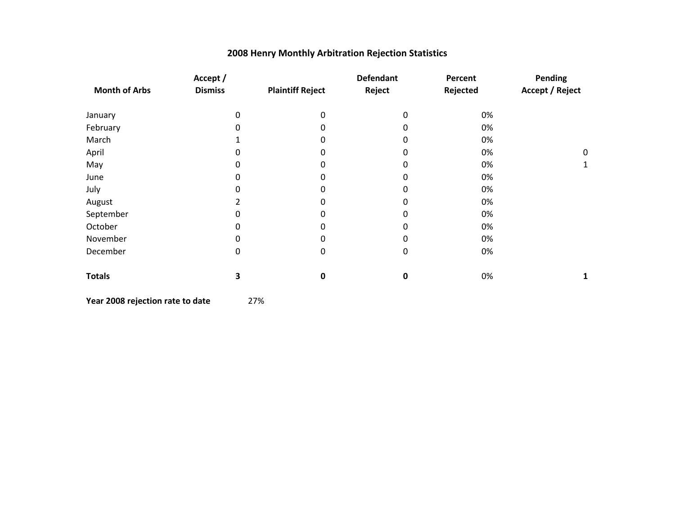|                      | Accept /       |                         | <b>Defendant</b> | Percent  | Pending                |
|----------------------|----------------|-------------------------|------------------|----------|------------------------|
| <b>Month of Arbs</b> | <b>Dismiss</b> | <b>Plaintiff Reject</b> | Reject           | Rejected | <b>Accept / Reject</b> |
| January              | 0              | 0                       | 0                | 0%       |                        |
| February             | 0              | 0                       | 0                | 0%       |                        |
| March                |                | 0                       | 0                | 0%       |                        |
| April                | 0              | 0                       | 0                | 0%       | 0                      |
| May                  | 0              | 0                       | 0                | 0%       | 1                      |
| June                 | 0              | 0                       | 0                | 0%       |                        |
| July                 | 0              | 0                       | 0                | 0%       |                        |
| August               | 2              | 0                       | 0                | 0%       |                        |
| September            | 0              | 0                       | 0                | 0%       |                        |
| October              | 0              | 0                       | 0                | 0%       |                        |
| November             | 0              | 0                       | 0                | 0%       |                        |
| December             | 0              | 0                       | $\mathbf 0$      | 0%       |                        |
| <b>Totals</b>        | 3              | 0                       | $\mathbf 0$      | 0%       | 1                      |

**Year 2008 rejection rate to date** 27%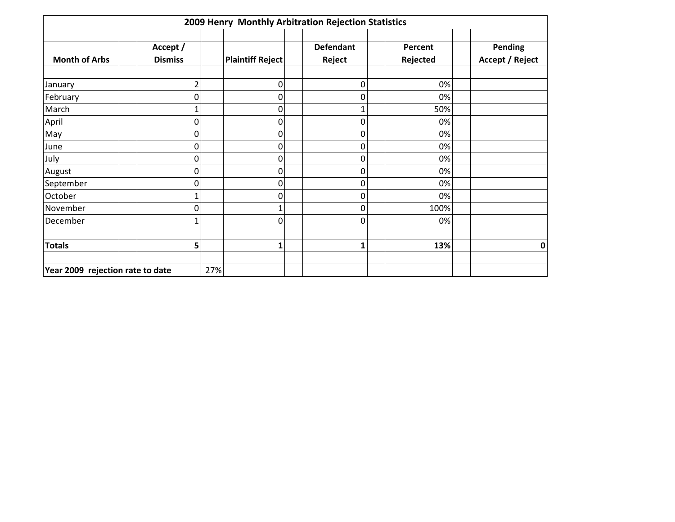| 2009 Henry Monthly Arbitration Rejection Statistics |                            |     |                         |                            |                     |                                   |  |  |  |
|-----------------------------------------------------|----------------------------|-----|-------------------------|----------------------------|---------------------|-----------------------------------|--|--|--|
| <b>Month of Arbs</b>                                | Accept /<br><b>Dismiss</b> |     | <b>Plaintiff Reject</b> | <b>Defendant</b><br>Reject | Percent<br>Rejected | Pending<br><b>Accept / Reject</b> |  |  |  |
| January                                             | 2                          |     | 0                       | 0                          | 0%                  |                                   |  |  |  |
| February                                            | 0                          |     | 0                       | 0                          | 0%                  |                                   |  |  |  |
| March                                               |                            |     | 0                       |                            | 50%                 |                                   |  |  |  |
| April                                               | 0                          |     | 0                       | 0                          | 0%                  |                                   |  |  |  |
| May                                                 | 0                          |     | 0                       | 0                          | 0%                  |                                   |  |  |  |
| June                                                | 0                          |     | 0                       | 0                          | 0%                  |                                   |  |  |  |
| July                                                | 0                          |     | 0                       | 0                          | 0%                  |                                   |  |  |  |
| August                                              | 0                          |     | 0                       | 0                          | 0%                  |                                   |  |  |  |
| September                                           | 0                          |     | 0                       | 0                          | 0%                  |                                   |  |  |  |
| October                                             |                            |     | 0                       | 0                          | 0%                  |                                   |  |  |  |
| November                                            | 0                          |     |                         | 0                          | 100%                |                                   |  |  |  |
| December                                            |                            |     | 0                       | 0                          | 0%                  |                                   |  |  |  |
| <b>Totals</b>                                       | 5                          |     | 1                       | 1                          | 13%                 | 0                                 |  |  |  |
| Year 2009 rejection rate to date                    |                            | 27% |                         |                            |                     |                                   |  |  |  |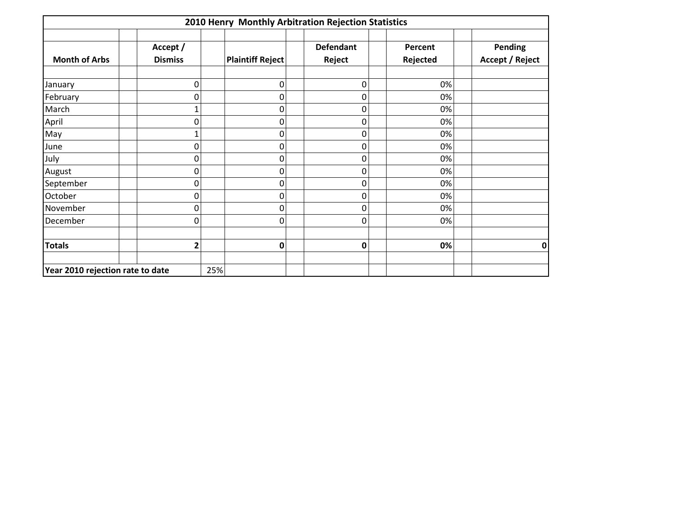|                                  |                            | 2010 Henry Monthly Arbitration Rejection Statistics |                            |                     |                                   |
|----------------------------------|----------------------------|-----------------------------------------------------|----------------------------|---------------------|-----------------------------------|
| <b>Month of Arbs</b>             | Accept /<br><b>Dismiss</b> | <b>Plaintiff Reject</b>                             | <b>Defendant</b><br>Reject | Percent<br>Rejected | Pending<br><b>Accept / Reject</b> |
| January                          | 0                          | 0                                                   | $\boldsymbol{0}$           | 0%                  |                                   |
| February                         | ი                          | 0                                                   | $\mathbf 0$                | 0%                  |                                   |
| March                            |                            | $\Omega$                                            | $\mathbf 0$                | 0%                  |                                   |
| April                            | 0                          | 0                                                   | $\mathbf 0$                | 0%                  |                                   |
| May                              |                            | 0                                                   | 0                          | 0%                  |                                   |
| June                             | 0                          | 0                                                   | $\mathbf 0$                | 0%                  |                                   |
| July                             | 0                          | $\Omega$                                            | $\mathbf 0$                | 0%                  |                                   |
| August                           | 0                          | 0                                                   | $\mathbf 0$                | 0%                  |                                   |
| September                        | 0                          | 0                                                   | 0                          | 0%                  |                                   |
| October                          | 0                          | 0                                                   | $\mathbf 0$                | 0%                  |                                   |
| November                         | 0                          | $\Omega$                                            | $\mathbf 0$                | 0%                  |                                   |
| December                         | 0                          | $\Omega$                                            | 0                          | 0%                  |                                   |
| <b>Totals</b>                    | 2                          | $\mathbf 0$                                         | $\mathbf 0$                | 0%                  | 0                                 |
| Year 2010 rejection rate to date |                            | 25%                                                 |                            |                     |                                   |